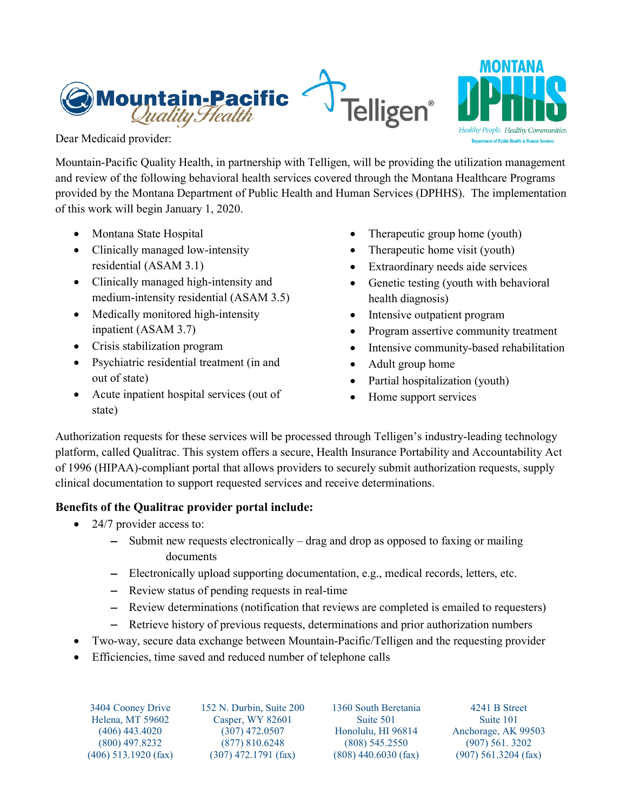



Dear Medicaid provider:

Mountain-Pacific Quality Health, in partnership with Telligen, will be providing the utilization management and review of the following behavioral health services covered through the Montana Healthcare Programs provided by the Montana Department of Public Health and Human Services (DPHHS). The implementation of this work will begin January 1, 2020.

- Montana State Hospital
- Clinically managed low-intensity residential (ASAM 3.1)
- Clinically managed high-intensity and medium-intensity residential (ASAM 3.5)
- Medically monitored high-intensity inpatient (ASAM 3.7)
- Crisis stabilization program
- Psychiatric residential treatment (in and out of state)
- Acute inpatient hospital services (out of state)
- Therapeutic group home (youth)
- Therapeutic home visit (youth)
- Extraordinary needs aide services
- Genetic testing (youth with behavioral health diagnosis)
- Intensive outpatient program
- Program assertive community treatment
- Intensive community-based rehabilitation
- Adult group home
- Partial hospitalization (youth)
- Home support services

Authorization requests for these services will be processed through Telligen's industry-leading technology platform, called Qualitrac. This system offers a secure, Health Insurance Portability and Accountability Act of 1996 (HIPAA)-compliant portal that allows providers to securely submit authorization requests, supply clinical documentation to support requested services and receive determinations.

## **Benefits of the Qualitrac provider portal include:**

- 24/7 provider access to:
	- − Submit new requests electronically drag and drop as opposed to faxing or mailing documents
	- − Electronically upload supporting documentation, e.g., medical records, letters, etc.
	- − Review status of pending requests in real-time
	- − Review determinations (notification that reviews are completed is emailed to requesters)
	- − Retrieve history of previous requests, determinations and prior authorization numbers
- Two-way, secure data exchange between Mountain-Pacific/Telligen and the requesting provider
- Efficiencies, time saved and reduced number of telephone calls

3404 Cooney Drive Helena, MT 59602 (406) 443.4020 (800) 497.8232 (406) 513.1920 (fax) 152 N. Durbin, Suite 200 Casper, WY 82601 (307) 472.0507 (877) 810.6248 (307) 472.1791 (fax)

1360 South Beretania Suite 501 Honolulu, HI 96814 (808) 545.2550 (808) 440.6030 (fax)

4241 B Street Suite 101 Anchorage, AK 99503 (907) 561. 3202 (907) 561.3204 (fax)